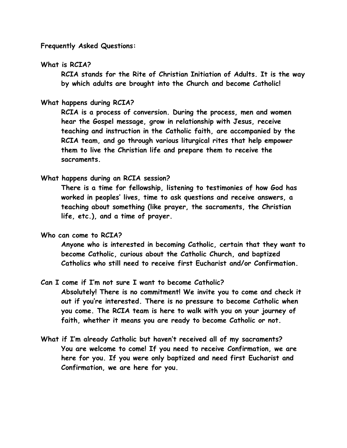**Frequently Asked Questions:**

### **What is RCIA?**

**RCIA stands for the Rite of Christian Initiation of Adults. It is the way by which adults are brought into the Church and become Catholic!** 

# **What happens during RCIA?**

**RCIA is a process of conversion. During the process, men and women hear the Gospel message, grow in relationship with Jesus, receive teaching and instruction in the Catholic faith, are accompanied by the RCIA team, and go through various liturgical rites that help empower them to live the Christian life and prepare them to receive the sacraments.** 

### **What happens during an RCIA session?**

**There is a time for fellowship, listening to testimonies of how God has worked in peoples' lives, time to ask questions and receive answers, a teaching about something (like prayer, the sacraments, the Christian life, etc.), and a time of prayer.** 

#### **Who can come to RCIA?**

**Anyone who is interested in becoming Catholic, certain that they want to become Catholic, curious about the Catholic Church, and baptized Catholics who still need to receive first Eucharist and/or Confirmation.** 

# **Can I come if I'm not sure I want to become Catholic?**

**Absolutely! There is no commitment! We invite you to come and check it out if you're interested. There is no pressure to become Catholic when you come. The RCIA team is here to walk with you on your journey of faith, whether it means you are ready to become Catholic or not.** 

**What if I'm already Catholic but haven't received all of my sacraments? You are welcome to come! If you need to receive Confirmation, we are here for you. If you were only baptized and need first Eucharist and Confirmation, we are here for you.**